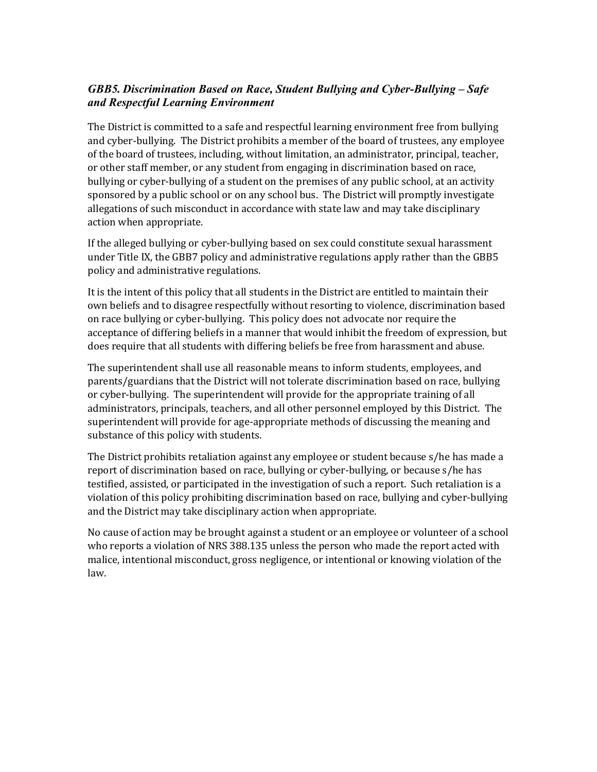## *GBB5. Discrimination Based on Race, Student Bullying and Cyber-Bullying – Safe and Respectful Learning Environment*

The District is committed to a safe and respectful learning environment free from bullying and cyber-bullying. The District prohibits a member of the board of trustees, any employee of the board of trustees, including, without limitation, an administrator, principal, teacher, or other staff member, or any student from engaging in discrimination based on race, bullying or cyber-bullying of a student on the premises of any public school, at an activity sponsored by a public school or on any school bus. The District will promptly investigate allegations of such misconduct in accordance with state law and may take disciplinary action when appropriate.

If the alleged bullying or cyber-bullying based on sex could constitute sexual harassment under Title IX, the GBB7 policy and administrative regulations apply rather than the GBB5 policy and administrative regulations.

It is the intent of this policy that all students in the District are entitled to maintain their own beliefs and to disagree respectfully without resorting to violence, discrimination based on race bullying or cyber-bullying. This policy does not advocate nor require the acceptance of differing beliefs in a manner that would inhibit the freedom of expression, but does require that all students with differing beliefs be free from harassment and abuse.

The superintendent shall use all reasonable means to inform students, employees, and parents/guardians that the District will not tolerate discrimination based on race, bullying or cyber-bullying. The superintendent will provide for the appropriate training of all administrators, principals, teachers, and all other personnel employed by this District. The superintendent will provide for age-appropriate methods of discussing the meaning and substance of this policy with students.

The District prohibits retaliation against any employee or student because s/he has made a report of discrimination based on race, bullying or cyber-bullying, or because s/he has testified, assisted, or participated in the investigation of such a report. Such retaliation is a violation of this policy prohibiting discrimination based on race, bullying and cyber-bullying and the District may take disciplinary action when appropriate.

No cause of action may be brought against a student or an employee or volunteer of a school who reports a violation of NRS 388.135 unless the person who made the report acted with malice, intentional misconduct, gross negligence, or intentional or knowing violation of the law.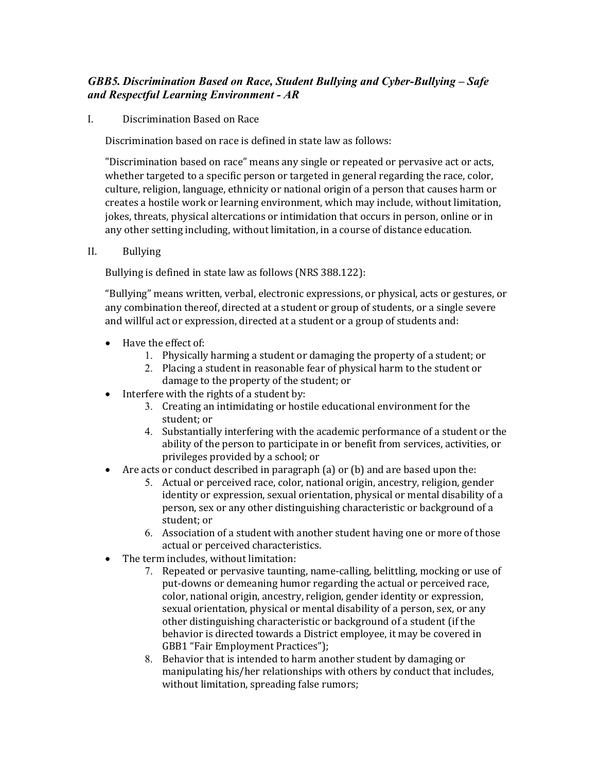# *GBB5. Discrimination Based on Race, Student Bullying and Cyber-Bullying – Safe and Respectful Learning Environment - AR*

#### I. Discrimination Based on Race

Discrimination based on race is defined in state law as follows:

"Discrimination based on race" means any single or repeated or pervasive act or acts, whether targeted to a specific person or targeted in general regarding the race, color, culture, religion, language, ethnicity or national origin of a person that causes harm or creates a hostile work or learning environment, which may include, without limitation, jokes, threats, physical altercations or intimidation that occurs in person, online or in any other setting including, without limitation, in a course of distance education.

II. Bullying

Bullying is defined in state law as follows (NRS 388.122):

"Bullying" means written, verbal, electronic expressions, or physical, acts or gestures, or any combination thereof, directed at a student or group of students, or a single severe and willful act or expression, directed at a student or a group of students and:

- Have the effect of:
	- 1. Physically harming a student or damaging the property of a student; or
	- 2. Placing a student in reasonable fear of physical harm to the student or damage to the property of the student; or
- Interfere with the rights of a student by:
	- 3. Creating an intimidating or hostile educational environment for the student; or
	- 4. Substantially interfering with the academic performance of a student or the ability of the person to participate in or benefit from services, activities, or privileges provided by a school; or
- Are acts or conduct described in paragraph (a) or (b) and are based upon the:
	- 5. Actual or perceived race, color, national origin, ancestry, religion, gender identity or expression, sexual orientation, physical or mental disability of a person, sex or any other distinguishing characteristic or background of a student; or
	- 6. Association of a student with another student having one or more of those actual or perceived characteristics.
- The term includes, without limitation:
	- 7. Repeated or pervasive taunting, name-calling, belittling, mocking or use of put-downs or demeaning humor regarding the actual or perceived race, color, national origin, ancestry, religion, gender identity or expression, sexual orientation, physical or mental disability of a person, sex, or any other distinguishing characteristic or background of a student (if the behavior is directed towards a District employee, it may be covered in GBB1 "Fair Employment Practices");
	- 8. Behavior that is intended to harm another student by damaging or manipulating his/her relationships with others by conduct that includes, without limitation, spreading false rumors;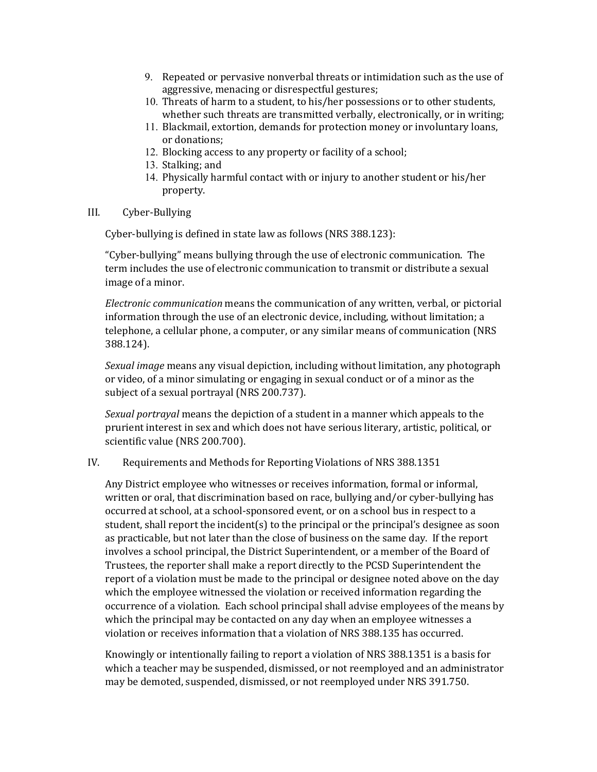- 9. Repeated or pervasive nonverbal threats or intimidation such as the use of aggressive, menacing or disrespectful gestures;
- 10. Threats of harm to a student, to his/her possessions or to other students, whether such threats are transmitted verbally, electronically, or in writing;
- 11. Blackmail, extortion, demands for protection money or involuntary loans, or donations;
- 12. Blocking access to any property or facility of a school;
- 13. Stalking; and
- 14. Physically harmful contact with or injury to another student or his/her property.
- III. Cyber-Bullying

Cyber-bullying is defined in state law as follows (NRS 388.123):

"Cyber-bullying" means bullying through the use of electronic communication. The term includes the use of electronic communication to transmit or distribute a sexual image of a minor.

*Electronic communication* means the communication of any written, verbal, or pictorial information through the use of an electronic device, including, without limitation; a telephone, a cellular phone, a computer, or any similar means of communication (NRS 388.124).

*Sexual image* means any visual depiction, including without limitation, any photograph or video, of a minor simulating or engaging in sexual conduct or of a minor as the subject of a sexual portrayal (NRS 200.737).

*Sexual portrayal* means the depiction of a student in a manner which appeals to the prurient interest in sex and which does not have serious literary, artistic, political, or scientific value (NRS 200.700).

#### IV. Requirements and Methods for Reporting Violations of NRS 388.1351

Any District employee who witnesses or receives information, formal or informal, written or oral, that discrimination based on race, bullying and/or cyber-bullying has occurred at school, at a school-sponsored event, or on a school bus in respect to a student, shall report the incident(s) to the principal or the principal's designee as soon as practicable, but not later than the close of business on the same day. If the report involves a school principal, the District Superintendent, or a member of the Board of Trustees, the reporter shall make a report directly to the PCSD Superintendent the report of a violation must be made to the principal or designee noted above on the day which the employee witnessed the violation or received information regarding the occurrence of a violation. Each school principal shall advise employees of the means by which the principal may be contacted on any day when an employee witnesses a violation or receives information that a violation of NRS 388.135 has occurred.

Knowingly or intentionally failing to report a violation of NRS 388.1351 is a basis for which a teacher may be suspended, dismissed, or not reemployed and an administrator may be demoted, suspended, dismissed, or not reemployed under NRS 391.750.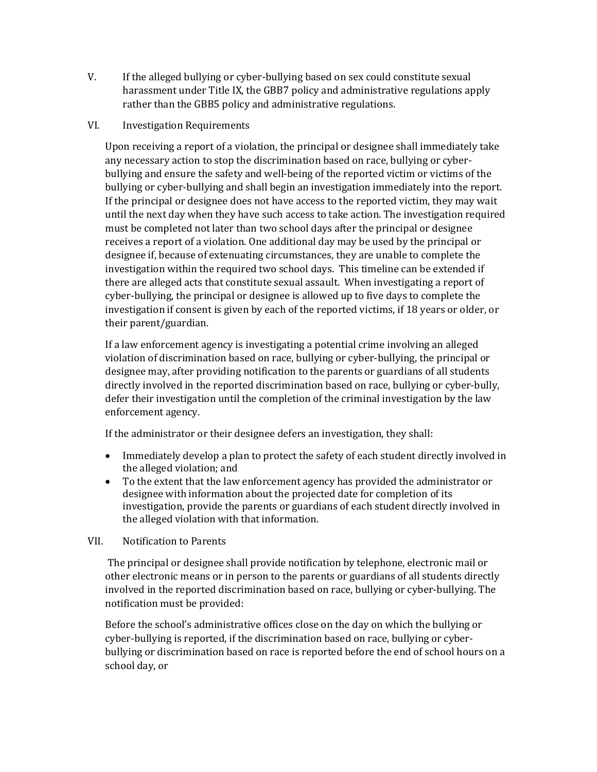V. If the alleged bullying or cyber-bullying based on sex could constitute sexual harassment under Title IX, the GBB7 policy and administrative regulations apply rather than the GBB5 policy and administrative regulations.

### VI. Investigation Requirements

Upon receiving a report of a violation, the principal or designee shall immediately take any necessary action to stop the discrimination based on race, bullying or cyberbullying and ensure the safety and well-being of the reported victim or victims of the bullying or cyber-bullying and shall begin an investigation immediately into the report. If the principal or designee does not have access to the reported victim, they may wait until the next day when they have such access to take action. The investigation required must be completed not later than two school days after the principal or designee receives a report of a violation. One additional day may be used by the principal or designee if, because of extenuating circumstances, they are unable to complete the investigation within the required two school days. This timeline can be extended if there are alleged acts that constitute sexual assault. When investigating a report of cyber-bullying, the principal or designee is allowed up to five days to complete the investigation if consent is given by each of the reported victims, if 18 years or older, or their parent/guardian.

If a law enforcement agency is investigating a potential crime involving an alleged violation of discrimination based on race, bullying or cyber-bullying, the principal or designee may, after providing notification to the parents or guardians of all students directly involved in the reported discrimination based on race, bullying or cyber-bully, defer their investigation until the completion of the criminal investigation by the law enforcement agency.

If the administrator or their designee defers an investigation, they shall:

- Immediately develop a plan to protect the safety of each student directly involved in the alleged violation; and
- To the extent that the law enforcement agency has provided the administrator or designee with information about the projected date for completion of its investigation, provide the parents or guardians of each student directly involved in the alleged violation with that information.

### VII. Notification to Parents

The principal or designee shall provide notification by telephone, electronic mail or other electronic means or in person to the parents or guardians of all students directly involved in the reported discrimination based on race, bullying or cyber-bullying. The notification must be provided:

Before the school's administrative offices close on the day on which the bullying or cyber-bullying is reported, if the discrimination based on race, bullying or cyberbullying or discrimination based on race is reported before the end of school hours on a school day, or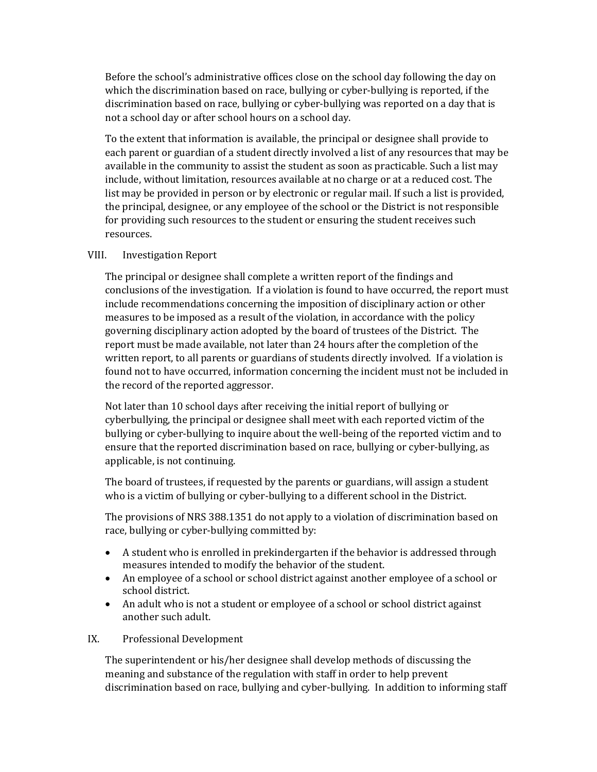Before the school's administrative offices close on the school day following the day on which the discrimination based on race, bullying or cyber-bullying is reported, if the discrimination based on race, bullying or cyber-bullying was reported on a day that is not a school day or after school hours on a school day.

To the extent that information is available, the principal or designee shall provide to each parent or guardian of a student directly involved a list of any resources that may be available in the community to assist the student as soon as practicable. Such a list may include, without limitation, resources available at no charge or at a reduced cost. The list may be provided in person or by electronic or regular mail. If such a list is provided, the principal, designee, or any employee of the school or the District is not responsible for providing such resources to the student or ensuring the student receives such resources.

### VIII. Investigation Report

The principal or designee shall complete a written report of the findings and conclusions of the investigation. If a violation is found to have occurred, the report must include recommendations concerning the imposition of disciplinary action or other measures to be imposed as a result of the violation, in accordance with the policy governing disciplinary action adopted by the board of trustees of the District. The report must be made available, not later than 24 hours after the completion of the written report, to all parents or guardians of students directly involved. If a violation is found not to have occurred, information concerning the incident must not be included in the record of the reported aggressor.

Not later than 10 school days after receiving the initial report of bullying or cyberbullying, the principal or designee shall meet with each reported victim of the bullying or cyber-bullying to inquire about the well-being of the reported victim and to ensure that the reported discrimination based on race, bullying or cyber-bullying, as applicable, is not continuing.

The board of trustees, if requested by the parents or guardians, will assign a student who is a victim of bullying or cyber-bullying to a different school in the District.

The provisions of NRS 388.1351 do not apply to a violation of discrimination based on race, bullying or cyber-bullying committed by:

- A student who is enrolled in prekindergarten if the behavior is addressed through measures intended to modify the behavior of the student.
- An employee of a school or school district against another employee of a school or school district.
- An adult who is not a student or employee of a school or school district against another such adult.

#### IX. Professional Development

The superintendent or his/her designee shall develop methods of discussing the meaning and substance of the regulation with staff in order to help prevent discrimination based on race, bullying and cyber-bullying. In addition to informing staff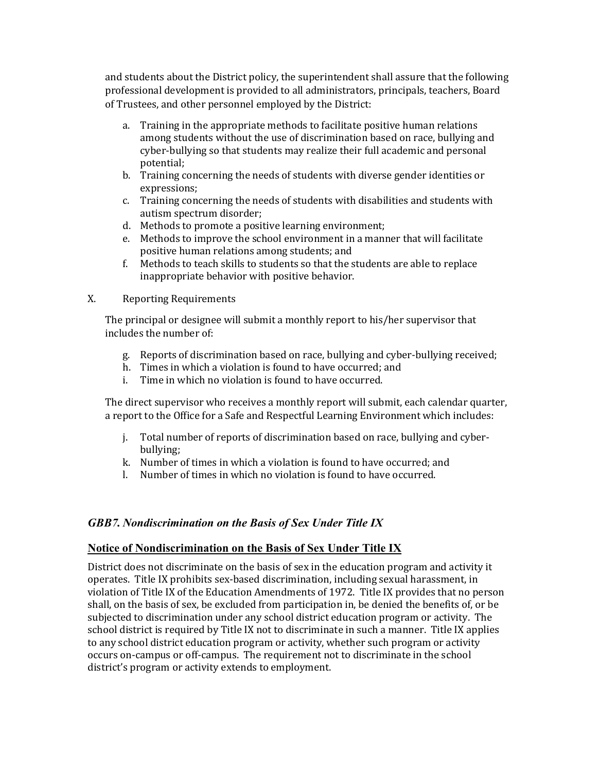and students about the District policy, the superintendent shall assure that the following professional development is provided to all administrators, principals, teachers, Board of Trustees, and other personnel employed by the District:

- a. Training in the appropriate methods to facilitate positive human relations among students without the use of discrimination based on race, bullying and cyber-bullying so that students may realize their full academic and personal potential;
- b. Training concerning the needs of students with diverse gender identities or expressions;
- c. Training concerning the needs of students with disabilities and students with autism spectrum disorder;
- d. Methods to promote a positive learning environment;
- e. Methods to improve the school environment in a manner that will facilitate positive human relations among students; and
- f. Methods to teach skills to students so that the students are able to replace inappropriate behavior with positive behavior.
- X. Reporting Requirements

The principal or designee will submit a monthly report to his/her supervisor that includes the number of:

- g. Reports of discrimination based on race, bullying and cyber-bullying received;
- h. Times in which a violation is found to have occurred; and
- i. Time in which no violation is found to have occurred.

The direct supervisor who receives a monthly report will submit, each calendar quarter, a report to the Office for a Safe and Respectful Learning Environment which includes:

- j. Total number of reports of discrimination based on race, bullying and cyberbullying;
- k. Number of times in which a violation is found to have occurred; and
- l. Number of times in which no violation is found to have occurred.

## *GBB7. Nondiscrimination on the Basis of Sex Under Title IX*

## **Notice of Nondiscrimination on the Basis of Sex Under Title IX**

District does not discriminate on the basis of sex in the education program and activity it operates. Title IX prohibits sex-based discrimination, including sexual harassment, in violation of Title IX of the Education Amendments of 1972. Title IX provides that no person shall, on the basis of sex, be excluded from participation in, be denied the benefits of, or be subjected to discrimination under any school district education program or activity. The school district is required by Title IX not to discriminate in such a manner. Title IX applies to any school district education program or activity, whether such program or activity occurs on-campus or off-campus. The requirement not to discriminate in the school district's program or activity extends to employment.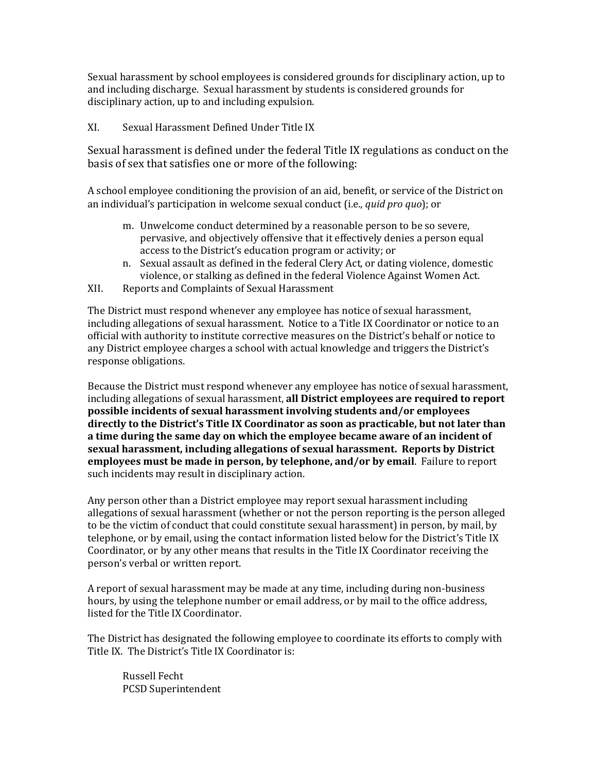Sexual harassment by school employees is considered grounds for disciplinary action, up to and including discharge. Sexual harassment by students is considered grounds for disciplinary action, up to and including expulsion.

### XI. Sexual Harassment Defined Under Title IX

Sexual harassment is defined under the federal Title IX regulations as conduct on the basis of sex that satisfies one or more of the following:

A school employee conditioning the provision of an aid, benefit, or service of the District on an individual's participation in welcome sexual conduct (i.e., *quid pro quo*); or

- m. Unwelcome conduct determined by a reasonable person to be so severe, pervasive, and objectively offensive that it effectively denies a person equal access to the District's education program or activity; or
- n. Sexual assault as defined in the federal Clery Act, or dating violence, domestic violence, or stalking as defined in the federal Violence Against Women Act.
- XII. Reports and Complaints of Sexual Harassment

The District must respond whenever any employee has notice of sexual harassment, including allegations of sexual harassment. Notice to a Title IX Coordinator or notice to an official with authority to institute corrective measures on the District's behalf or notice to any District employee charges a school with actual knowledge and triggers the District's response obligations.

Because the District must respond whenever any employee has notice of sexual harassment, including allegations of sexual harassment, **all District employees are required to report possible incidents of sexual harassment involving students and/or employees directly to the District's Title IX Coordinator as soon as practicable, but not later than a time during the same day on which the employee became aware of an incident of sexual harassment, including allegations of sexual harassment. Reports by District employees must be made in person, by telephone, and/or by email**. Failure to report such incidents may result in disciplinary action.

Any person other than a District employee may report sexual harassment including allegations of sexual harassment (whether or not the person reporting is the person alleged to be the victim of conduct that could constitute sexual harassment) in person, by mail, by telephone, or by email, using the contact information listed below for the District's Title IX Coordinator, or by any other means that results in the Title IX Coordinator receiving the person's verbal or written report.

A report of sexual harassment may be made at any time, including during non-business hours, by using the telephone number or email address, or by mail to the office address, listed for the Title IX Coordinator.

The District has designated the following employee to coordinate its efforts to comply with Title IX. The District's Title IX Coordinator is:

Russell Fecht PCSD Superintendent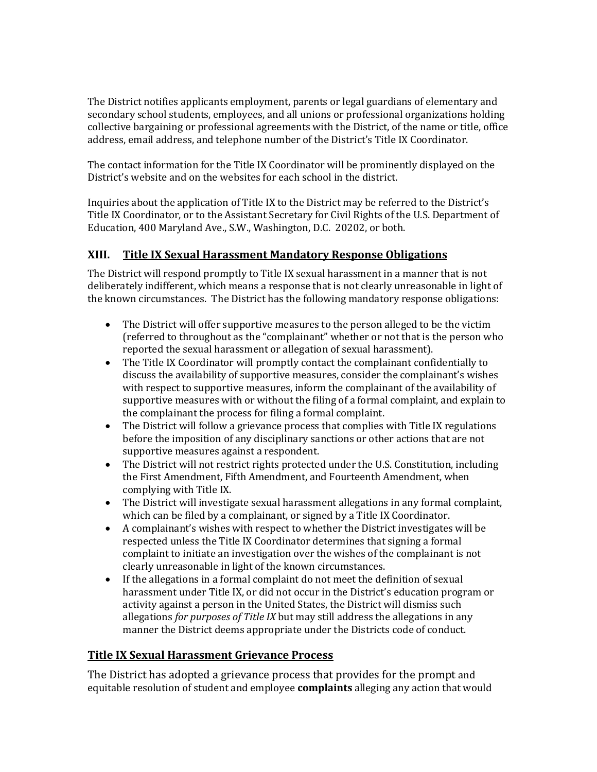The District notifies applicants employment, parents or legal guardians of elementary and secondary school students, employees, and all unions or professional organizations holding collective bargaining or professional agreements with the District, of the name or title, office address, email address, and telephone number of the District's Title IX Coordinator.

The contact information for the Title IX Coordinator will be prominently displayed on the District's website and on the websites for each school in the district.

Inquiries about the application of Title IX to the District may be referred to the District's Title IX Coordinator, or to the Assistant Secretary for Civil Rights of the U.S. Department of Education, 400 Maryland Ave., S.W., Washington, D.C. 20202, or both.

# **XIII. Title IX Sexual Harassment Mandatory Response Obligations**

The District will respond promptly to Title IX sexual harassment in a manner that is not deliberately indifferent, which means a response that is not clearly unreasonable in light of the known circumstances. The District has the following mandatory response obligations:

- The District will offer supportive measures to the person alleged to be the victim (referred to throughout as the "complainant" whether or not that is the person who reported the sexual harassment or allegation of sexual harassment).
- The Title IX Coordinator will promptly contact the complainant confidentially to discuss the availability of supportive measures, consider the complainant's wishes with respect to supportive measures, inform the complainant of the availability of supportive measures with or without the filing of a formal complaint, and explain to the complainant the process for filing a formal complaint.
- The District will follow a grievance process that complies with Title IX regulations before the imposition of any disciplinary sanctions or other actions that are not supportive measures against a respondent.
- The District will not restrict rights protected under the U.S. Constitution, including the First Amendment, Fifth Amendment, and Fourteenth Amendment, when complying with Title IX.
- The District will investigate sexual harassment allegations in any formal complaint, which can be filed by a complainant, or signed by a Title IX Coordinator.
- A complainant's wishes with respect to whether the District investigates will be respected unless the Title IX Coordinator determines that signing a formal complaint to initiate an investigation over the wishes of the complainant is not clearly unreasonable in light of the known circumstances.
- If the allegations in a formal complaint do not meet the definition of sexual harassment under Title IX, or did not occur in the District's education program or activity against a person in the United States, the District will dismiss such allegations *for purposes of Title IX* but may still address the allegations in any manner the District deems appropriate under the Districts code of conduct.

# **Title IX Sexual Harassment Grievance Process**

The District has adopted a grievance process that provides for the prompt and equitable resolution of student and employee **complaints** alleging any action that would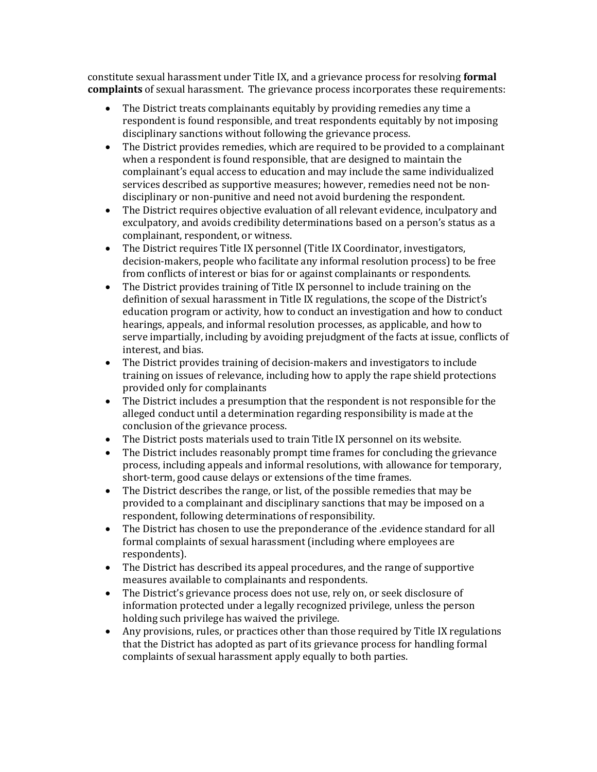constitute sexual harassment under Title IX, and a grievance process for resolving **formal complaints** of sexual harassment. The grievance process incorporates these requirements:

- The District treats complainants equitably by providing remedies any time a respondent is found responsible, and treat respondents equitably by not imposing disciplinary sanctions without following the grievance process.
- The District provides remedies, which are required to be provided to a complainant when a respondent is found responsible, that are designed to maintain the complainant's equal access to education and may include the same individualized services described as supportive measures; however, remedies need not be nondisciplinary or non-punitive and need not avoid burdening the respondent.
- The District requires objective evaluation of all relevant evidence, inculpatory and exculpatory, and avoids credibility determinations based on a person's status as a complainant, respondent, or witness.
- The District requires Title IX personnel (Title IX Coordinator, investigators, decision-makers, people who facilitate any informal resolution process) to be free from conflicts of interest or bias for or against complainants or respondents.
- The District provides training of Title IX personnel to include training on the definition of sexual harassment in Title IX regulations, the scope of the District's education program or activity, how to conduct an investigation and how to conduct hearings, appeals, and informal resolution processes, as applicable, and how to serve impartially, including by avoiding prejudgment of the facts at issue, conflicts of interest, and bias.
- The District provides training of decision-makers and investigators to include training on issues of relevance, including how to apply the rape shield protections provided only for complainants
- The District includes a presumption that the respondent is not responsible for the alleged conduct until a determination regarding responsibility is made at the conclusion of the grievance process.
- The District posts materials used to train Title IX personnel on its website.
- The District includes reasonably prompt time frames for concluding the grievance process, including appeals and informal resolutions, with allowance for temporary, short-term, good cause delays or extensions of the time frames.
- The District describes the range, or list, of the possible remedies that may be provided to a complainant and disciplinary sanctions that may be imposed on a respondent, following determinations of responsibility.
- The District has chosen to use the preponderance of the .evidence standard for all formal complaints of sexual harassment (including where employees are respondents).
- The District has described its appeal procedures, and the range of supportive measures available to complainants and respondents.
- The District's grievance process does not use, rely on, or seek disclosure of information protected under a legally recognized privilege, unless the person holding such privilege has waived the privilege.
- Any provisions, rules, or practices other than those required by Title IX regulations that the District has adopted as part of its grievance process for handling formal complaints of sexual harassment apply equally to both parties.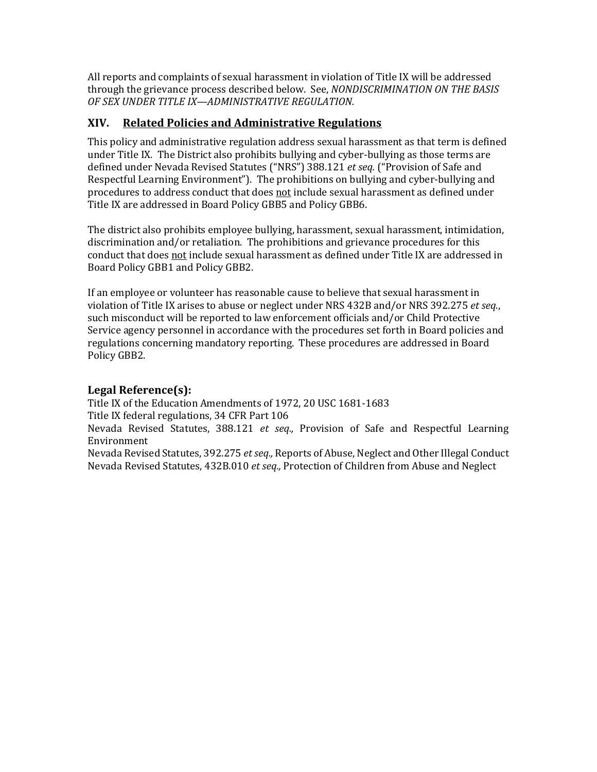All reports and complaints of sexual harassment in violation of Title IX will be addressed through the grievance process described below. See, *NONDISCRIMINATION ON THE BASIS OF SEX UNDER TITLE IX—ADMINISTRATIVE REGULATION.*

# **XIV. Related Policies and Administrative Regulations**

This policy and administrative regulation address sexual harassment as that term is defined under Title IX. The District also prohibits bullying and cyber-bullying as those terms are defined under Nevada Revised Statutes ("NRS") 388.121 *et seq.* ("Provision of Safe and Respectful Learning Environment"). The prohibitions on bullying and cyber-bullying and procedures to address conduct that does not include sexual harassment as defined under Title IX are addressed in Board Policy GBB5 and Policy GBB6.

The district also prohibits employee bullying, harassment, sexual harassment, intimidation, discrimination and/or retaliation. The prohibitions and grievance procedures for this conduct that does not include sexual harassment as defined under Title IX are addressed in Board Policy GBB1 and Policy GBB2.

If an employee or volunteer has reasonable cause to believe that sexual harassment in violation of Title IX arises to abuse or neglect under NRS 432B and/or NRS 392.275 *et seq.*, such misconduct will be reported to law enforcement officials and/or Child Protective Service agency personnel in accordance with the procedures set forth in Board policies and regulations concerning mandatory reporting. These procedures are addressed in Board Policy GBB2.

## **Legal Reference(s):**

Title IX of the Education Amendments of 1972, 20 USC 1681-1683

Title IX federal regulations, 34 CFR Part 106

Nevada Revised Statutes, 388.121 *et seq.,* Provision of Safe and Respectful Learning Environment

Nevada Revised Statutes, 392.275 *et seq.,* Reports of Abuse, Neglect and Other Illegal Conduct Nevada Revised Statutes, 432B.010 *et seq.,* Protection of Children from Abuse and Neglect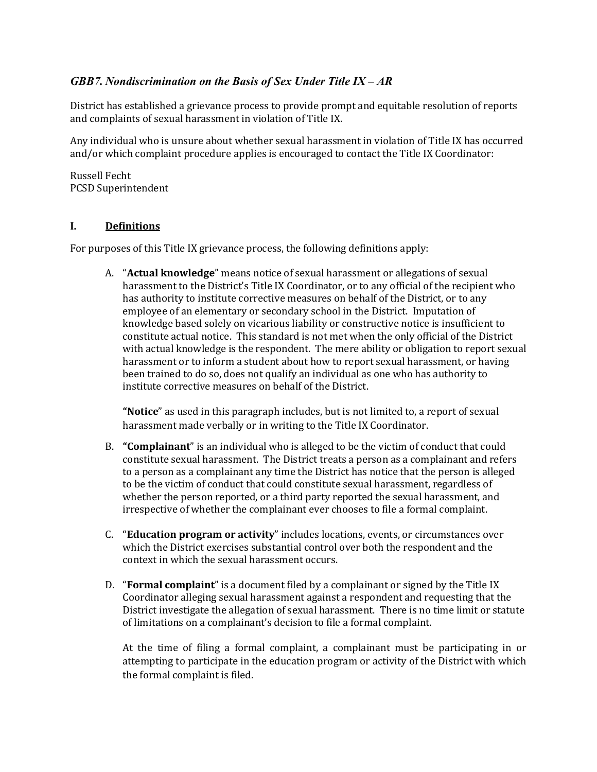## *GBB7. Nondiscrimination on the Basis of Sex Under Title IX – AR*

District has established a grievance process to provide prompt and equitable resolution of reports and complaints of sexual harassment in violation of Title IX.

Any individual who is unsure about whether sexual harassment in violation of Title IX has occurred and/or which complaint procedure applies is encouraged to contact the Title IX Coordinator:

Russell Fecht PCSD Superintendent

#### **I. Definitions**

For purposes of this Title IX grievance process, the following definitions apply:

A. "**Actual knowledge**" means notice of sexual harassment or allegations of sexual harassment to the District's Title IX Coordinator, or to any official of the recipient who has authority to institute corrective measures on behalf of the District, or to any employee of an elementary or secondary school in the District. Imputation of knowledge based solely on vicarious liability or constructive notice is insufficient to constitute actual notice. This standard is not met when the only official of the District with actual knowledge is the respondent. The mere ability or obligation to report sexual harassment or to inform a student about how to report sexual harassment, or having been trained to do so, does not qualify an individual as one who has authority to institute corrective measures on behalf of the District.

**"Notice**" as used in this paragraph includes, but is not limited to, a report of sexual harassment made verbally or in writing to the Title IX Coordinator.

- B. **"Complainant**" is an individual who is alleged to be the victim of conduct that could constitute sexual harassment. The District treats a person as a complainant and refers to a person as a complainant any time the District has notice that the person is alleged to be the victim of conduct that could constitute sexual harassment, regardless of whether the person reported, or a third party reported the sexual harassment, and irrespective of whether the complainant ever chooses to file a formal complaint.
- C. "**Education program or activity**" includes locations, events, or circumstances over which the District exercises substantial control over both the respondent and the context in which the sexual harassment occurs.
- D. "**Formal complaint**" is a document filed by a complainant or signed by the Title IX Coordinator alleging sexual harassment against a respondent and requesting that the District investigate the allegation of sexual harassment. There is no time limit or statute of limitations on a complainant's decision to file a formal complaint.

At the time of filing a formal complaint, a complainant must be participating in or attempting to participate in the education program or activity of the District with which the formal complaint is filed.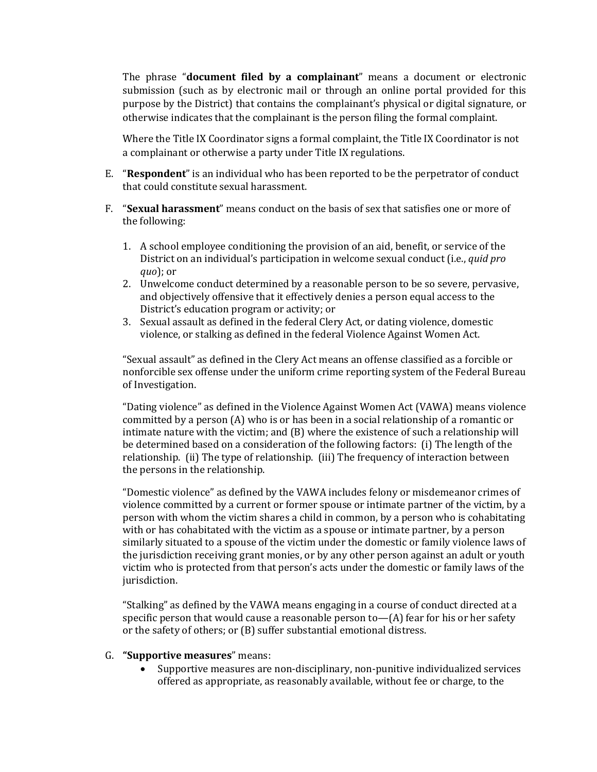The phrase "**document filed by a complainant**" means a document or electronic submission (such as by electronic mail or through an online portal provided for this purpose by the District) that contains the complainant's physical or digital signature, or otherwise indicates that the complainant is the person filing the formal complaint.

Where the Title IX Coordinator signs a formal complaint, the Title IX Coordinator is not a complainant or otherwise a party under Title IX regulations.

- E. "**Respondent**" is an individual who has been reported to be the perpetrator of conduct that could constitute sexual harassment.
- F. "**Sexual harassment**" means conduct on the basis of sex that satisfies one or more of the following:
	- 1. A school employee conditioning the provision of an aid, benefit, or service of the District on an individual's participation in welcome sexual conduct (i.e., *quid pro quo*); or
	- 2. Unwelcome conduct determined by a reasonable person to be so severe, pervasive, and objectively offensive that it effectively denies a person equal access to the District's education program or activity; or
	- 3. Sexual assault as defined in the federal Clery Act, or dating violence, domestic violence, or stalking as defined in the federal Violence Against Women Act.

"Sexual assault" as defined in the Clery Act means an offense classified as a forcible or nonforcible sex offense under the uniform crime reporting system of the Federal Bureau of Investigation.

"Dating violence" as defined in the Violence Against Women Act (VAWA) means violence committed by a person (A) who is or has been in a social relationship of a romantic or intimate nature with the victim; and (B) where the existence of such a relationship will be determined based on a consideration of the following factors: (i) The length of the relationship. (ii) The type of relationship. (iii) The frequency of interaction between the persons in the relationship.

"Domestic violence" as defined by the VAWA includes felony or misdemeanor crimes of violence committed by a current or former spouse or intimate partner of the victim, by a person with whom the victim shares a child in common, by a person who is cohabitating with or has cohabitated with the victim as a spouse or intimate partner, by a person similarly situated to a spouse of the victim under the domestic or family violence laws of the jurisdiction receiving grant monies, or by any other person against an adult or youth victim who is protected from that person's acts under the domestic or family laws of the jurisdiction.

"Stalking" as defined by the VAWA means engaging in a course of conduct directed at a specific person that would cause a reasonable person to—(A) fear for his or her safety or the safety of others; or (B) suffer substantial emotional distress.

### G. **"Supportive measures**" means:

• Supportive measures are non-disciplinary, non-punitive individualized services offered as appropriate, as reasonably available, without fee or charge, to the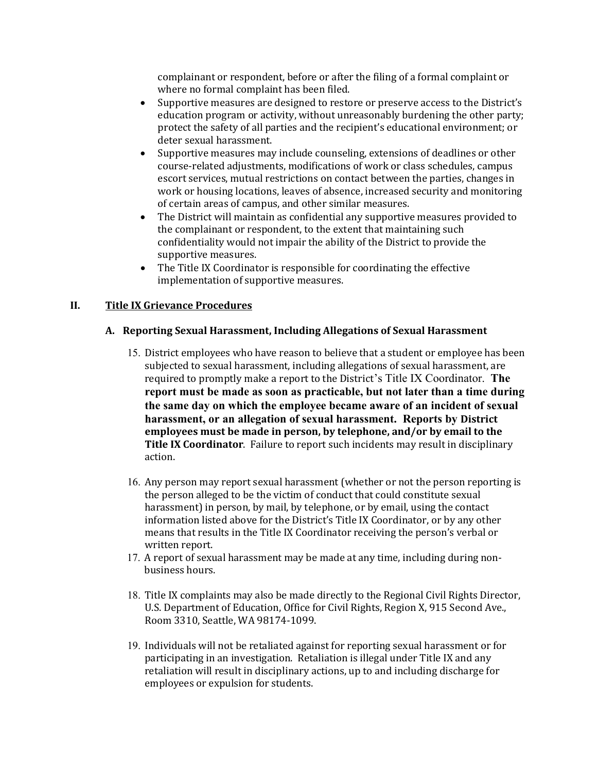complainant or respondent, before or after the filing of a formal complaint or where no formal complaint has been filed.

- Supportive measures are designed to restore or preserve access to the District's education program or activity, without unreasonably burdening the other party; protect the safety of all parties and the recipient's educational environment; or deter sexual harassment.
- Supportive measures may include counseling, extensions of deadlines or other course-related adjustments, modifications of work or class schedules, campus escort services, mutual restrictions on contact between the parties, changes in work or housing locations, leaves of absence, increased security and monitoring of certain areas of campus, and other similar measures.
- The District will maintain as confidential any supportive measures provided to the complainant or respondent, to the extent that maintaining such confidentiality would not impair the ability of the District to provide the supportive measures.
- The Title IX Coordinator is responsible for coordinating the effective implementation of supportive measures.

## **II. Title IX Grievance Procedures**

### **A. Reporting Sexual Harassment, Including Allegations of Sexual Harassment**

- 15. District employees who have reason to believe that a student or employee has been subjected to sexual harassment, including allegations of sexual harassment, are required to promptly make a report to the District's Title IX Coordinator. **The report must be made as soon as practicable, but not later than a time during the same day on which the employee became aware of an incident of sexual harassment, or an allegation of sexual harassment. Reports by District employees must be made in person, by telephone, and/or by email to the Title IX Coordinator**. Failure to report such incidents may result in disciplinary action.
- 16. Any person may report sexual harassment (whether or not the person reporting is the person alleged to be the victim of conduct that could constitute sexual harassment) in person, by mail, by telephone, or by email, using the contact information listed above for the District's Title IX Coordinator, or by any other means that results in the Title IX Coordinator receiving the person's verbal or written report.
- 17. A report of sexual harassment may be made at any time, including during nonbusiness hours.
- 18. Title IX complaints may also be made directly to the Regional Civil Rights Director, U.S. Department of Education, Office for Civil Rights, Region X, 915 Second Ave., Room 3310, Seattle, WA 98174-1099.
- 19. Individuals will not be retaliated against for reporting sexual harassment or for participating in an investigation. Retaliation is illegal under Title IX and any retaliation will result in disciplinary actions, up to and including discharge for employees or expulsion for students.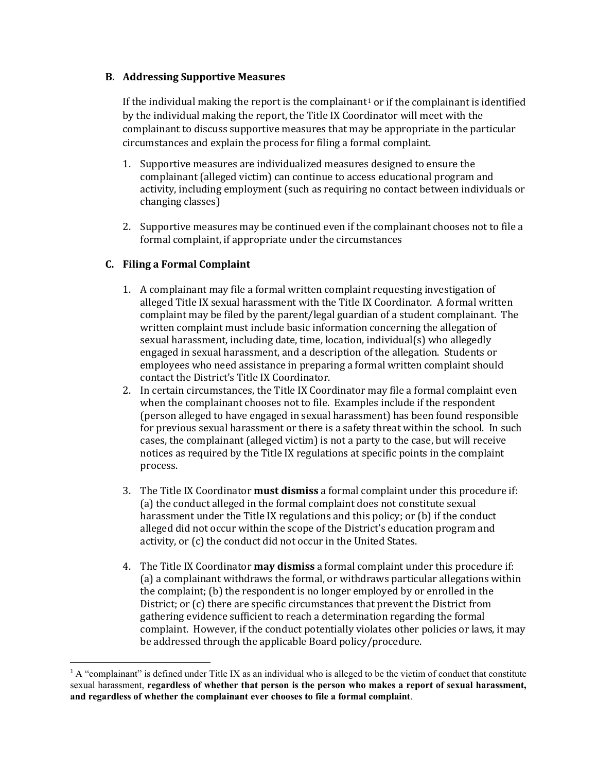#### **B. Addressing Supportive Measures**

If the individual making the report is the complainant<sup>[1](#page-13-0)</sup> or if the complainant is identified by the individual making the report, the Title IX Coordinator will meet with the complainant to discuss supportive measures that may be appropriate in the particular circumstances and explain the process for filing a formal complaint.

- 1. Supportive measures are individualized measures designed to ensure the complainant (alleged victim) can continue to access educational program and activity, including employment (such as requiring no contact between individuals or changing classes)
- 2. Supportive measures may be continued even if the complainant chooses not to file a formal complaint, if appropriate under the circumstances

### **C. Filing a Formal Complaint**

- 1. A complainant may file a formal written complaint requesting investigation of alleged Title IX sexual harassment with the Title IX Coordinator. A formal written complaint may be filed by the parent/legal guardian of a student complainant. The written complaint must include basic information concerning the allegation of sexual harassment, including date, time, location, individual(s) who allegedly engaged in sexual harassment, and a description of the allegation. Students or employees who need assistance in preparing a formal written complaint should contact the District's Title IX Coordinator.
- 2. In certain circumstances, the Title IX Coordinator may file a formal complaint even when the complainant chooses not to file. Examples include if the respondent (person alleged to have engaged in sexual harassment) has been found responsible for previous sexual harassment or there is a safety threat within the school. In such cases, the complainant (alleged victim) is not a party to the case, but will receive notices as required by the Title IX regulations at specific points in the complaint process.
- 3. The Title IX Coordinator **must dismiss** a formal complaint under this procedure if: (a) the conduct alleged in the formal complaint does not constitute sexual harassment under the Title IX regulations and this policy; or (b) if the conduct alleged did not occur within the scope of the District's education program and activity, or (c) the conduct did not occur in the United States.
- 4. The Title IX Coordinator **may dismiss** a formal complaint under this procedure if: (a) a complainant withdraws the formal, or withdraws particular allegations within the complaint; (b) the respondent is no longer employed by or enrolled in the District; or (c) there are specific circumstances that prevent the District from gathering evidence sufficient to reach a determination regarding the formal complaint. However, if the conduct potentially violates other policies or laws, it may be addressed through the applicable Board policy/procedure.

<span id="page-13-0"></span> $1A$  "complainant" is defined under Title IX as an individual who is alleged to be the victim of conduct that constitute sexual harassment, **regardless of whether that person is the person who makes a report of sexual harassment, and regardless of whether the complainant ever chooses to file a formal complaint**.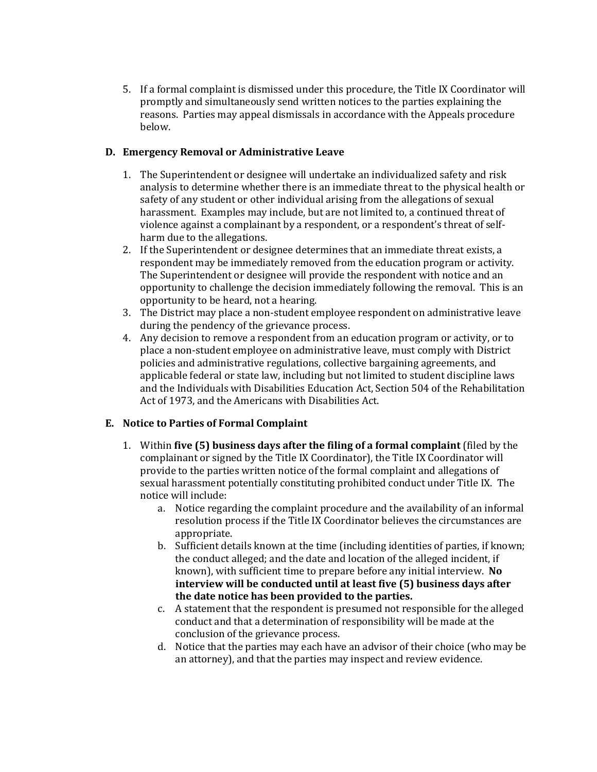5. If a formal complaint is dismissed under this procedure, the Title IX Coordinator will promptly and simultaneously send written notices to the parties explaining the reasons. Parties may appeal dismissals in accordance with the Appeals procedure below.

## **D. Emergency Removal or Administrative Leave**

- 1. The Superintendent or designee will undertake an individualized safety and risk analysis to determine whether there is an immediate threat to the physical health or safety of any student or other individual arising from the allegations of sexual harassment. Examples may include, but are not limited to, a continued threat of violence against a complainant by a respondent, or a respondent's threat of selfharm due to the allegations.
- 2. If the Superintendent or designee determines that an immediate threat exists, a respondent may be immediately removed from the education program or activity. The Superintendent or designee will provide the respondent with notice and an opportunity to challenge the decision immediately following the removal. This is an opportunity to be heard, not a hearing.
- 3. The District may place a non-student employee respondent on administrative leave during the pendency of the grievance process.
- 4. Any decision to remove a respondent from an education program or activity, or to place a non-student employee on administrative leave, must comply with District policies and administrative regulations, collective bargaining agreements, and applicable federal or state law, including but not limited to student discipline laws and the Individuals with Disabilities Education Act, Section 504 of the Rehabilitation Act of 1973, and the Americans with Disabilities Act.

## **E. Notice to Parties of Formal Complaint**

- 1. Within **five (5) business days after the filing of a formal complaint** (filed by the complainant or signed by the Title IX Coordinator), the Title IX Coordinator will provide to the parties written notice of the formal complaint and allegations of sexual harassment potentially constituting prohibited conduct under Title IX. The notice will include:
	- a. Notice regarding the complaint procedure and the availability of an informal resolution process if the Title IX Coordinator believes the circumstances are appropriate.
	- b. Sufficient details known at the time (including identities of parties, if known; the conduct alleged; and the date and location of the alleged incident, if known), with sufficient time to prepare before any initial interview. **No interview will be conducted until at least five (5) business days after the date notice has been provided to the parties.**
	- c. A statement that the respondent is presumed not responsible for the alleged conduct and that a determination of responsibility will be made at the conclusion of the grievance process.
	- d. Notice that the parties may each have an advisor of their choice (who may be an attorney), and that the parties may inspect and review evidence.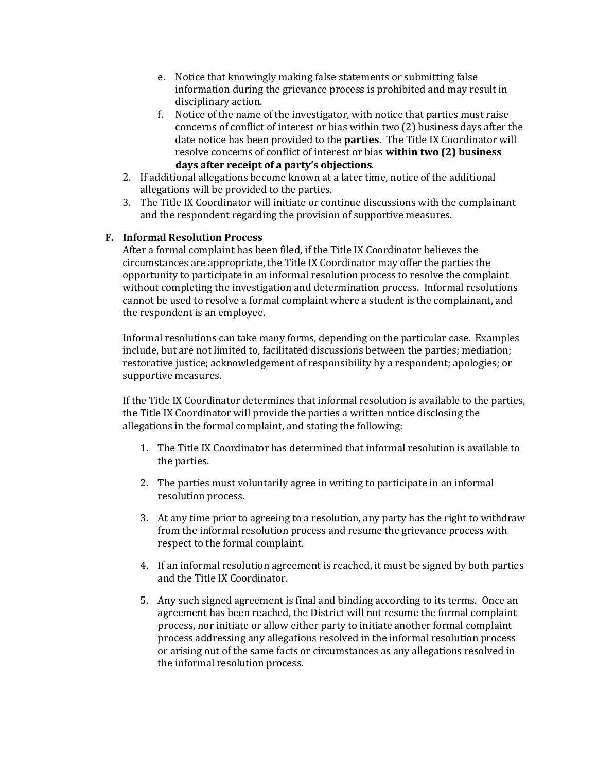- e. Notice that knowingly making false statements or submitting false information during the grievance process is prohibited and may result in disciplinary action.
- f. Notice of the name of the investigator, with notice that parties must raise concerns of conflict of interest or bias within two (2) business days after the date notice has been provided to the **parties.** The Title IX Coordinator will resolve concerns of conflict of interest or bias **within two (2) business days after receipt of a party's objections**.
- 2. If additional allegations become known at a later time, notice of the additional allegations will be provided to the parties.
- 3. The Title IX Coordinator will initiate or continue discussions with the complainant and the respondent regarding the provision of supportive measures.

### **F. Informal Resolution Process**

After a formal complaint has been filed, if the Title IX Coordinator believes the circumstances are appropriate, the Title IX Coordinator may offer the parties the opportunity to participate in an informal resolution process to resolve the complaint without completing the investigation and determination process. Informal resolutions cannot be used to resolve a formal complaint where a student is the complainant, and the respondent is an employee.

Informal resolutions can take many forms, depending on the particular case. Examples include, but are not limited to, facilitated discussions between the parties; mediation; restorative justice; acknowledgement of responsibility by a respondent; apologies; or supportive measures.

If the Title IX Coordinator determines that informal resolution is available to the parties, the Title IX Coordinator will provide the parties a written notice disclosing the allegations in the formal complaint, and stating the following:

- 1. The Title IX Coordinator has determined that informal resolution is available to the parties.
- 2. The parties must voluntarily agree in writing to participate in an informal resolution process.
- 3. At any time prior to agreeing to a resolution, any party has the right to withdraw from the informal resolution process and resume the grievance process with respect to the formal complaint.
- 4. If an informal resolution agreement is reached, it must be signed by both parties and the Title IX Coordinator.
- 5. Any such signed agreement is final and binding according to its terms. Once an agreement has been reached, the District will not resume the formal complaint process, nor initiate or allow either party to initiate another formal complaint process addressing any allegations resolved in the informal resolution process or arising out of the same facts or circumstances as any allegations resolved in the informal resolution process.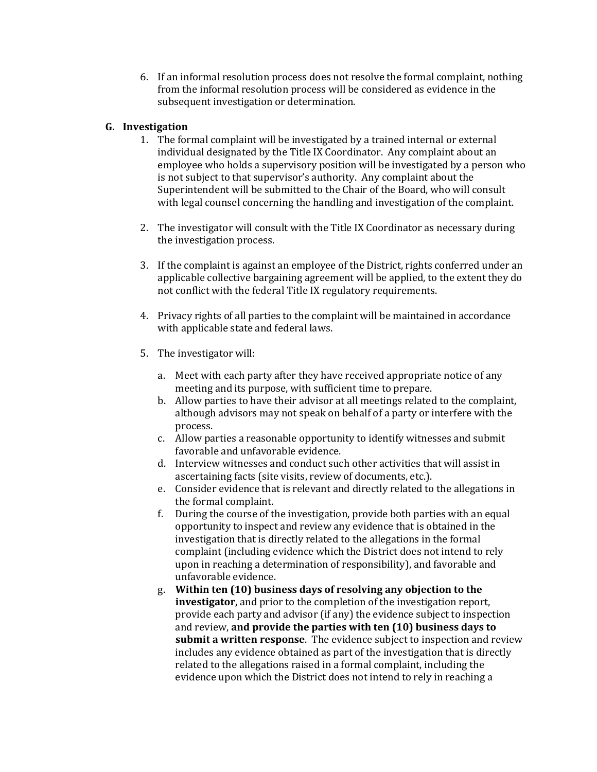6. If an informal resolution process does not resolve the formal complaint, nothing from the informal resolution process will be considered as evidence in the subsequent investigation or determination.

### **G. Investigation**

- 1. The formal complaint will be investigated by a trained internal or external individual designated by the Title IX Coordinator. Any complaint about an employee who holds a supervisory position will be investigated by a person who is not subject to that supervisor's authority. Any complaint about the Superintendent will be submitted to the Chair of the Board, who will consult with legal counsel concerning the handling and investigation of the complaint.
- 2. The investigator will consult with the Title IX Coordinator as necessary during the investigation process.
- 3. If the complaint is against an employee of the District, rights conferred under an applicable collective bargaining agreement will be applied, to the extent they do not conflict with the federal Title IX regulatory requirements.
- 4. Privacy rights of all parties to the complaint will be maintained in accordance with applicable state and federal laws.
- 5. The investigator will:
	- a. Meet with each party after they have received appropriate notice of any meeting and its purpose, with sufficient time to prepare.
	- b. Allow parties to have their advisor at all meetings related to the complaint, although advisors may not speak on behalf of a party or interfere with the process.
	- c. Allow parties a reasonable opportunity to identify witnesses and submit favorable and unfavorable evidence.
	- d. Interview witnesses and conduct such other activities that will assist in ascertaining facts (site visits, review of documents, etc.).
	- e. Consider evidence that is relevant and directly related to the allegations in the formal complaint.
	- f. During the course of the investigation, provide both parties with an equal opportunity to inspect and review any evidence that is obtained in the investigation that is directly related to the allegations in the formal complaint (including evidence which the District does not intend to rely upon in reaching a determination of responsibility), and favorable and unfavorable evidence.
	- g. **Within ten (10) business days of resolving any objection to the investigator,** and prior to the completion of the investigation report, provide each party and advisor (if any) the evidence subject to inspection and review, **and provide the parties with ten (10) business days to submit a written response**. The evidence subject to inspection and review includes any evidence obtained as part of the investigation that is directly related to the allegations raised in a formal complaint, including the evidence upon which the District does not intend to rely in reaching a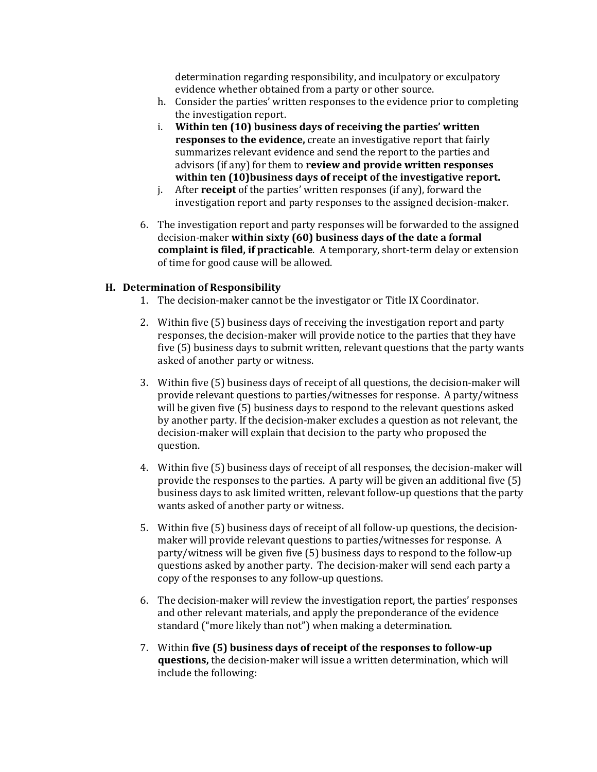determination regarding responsibility, and inculpatory or exculpatory evidence whether obtained from a party or other source.

- h. Consider the parties' written responses to the evidence prior to completing the investigation report.
- i. **Within ten (10) business days of receiving the parties' written responses to the evidence,** create an investigative report that fairly summarizes relevant evidence and send the report to the parties and advisors (if any) for them to **review and provide written responses within ten (10)business days of receipt of the investigative report.**
- j. After **receipt** of the parties' written responses (if any), forward the investigation report and party responses to the assigned decision-maker.
- 6. The investigation report and party responses will be forwarded to the assigned decision-maker **within sixty (60) business days of the date a formal complaint is filed, if practicable**. A temporary, short-term delay or extension of time for good cause will be allowed.

#### **H. Determination of Responsibility**

- 1. The decision-maker cannot be the investigator or Title IX Coordinator.
- 2. Within five (5) business days of receiving the investigation report and party responses, the decision-maker will provide notice to the parties that they have five (5) business days to submit written, relevant questions that the party wants asked of another party or witness.
- 3. Within five (5) business days of receipt of all questions, the decision-maker will provide relevant questions to parties/witnesses for response. A party/witness will be given five (5) business days to respond to the relevant questions asked by another party. If the decision-maker excludes a question as not relevant, the decision-maker will explain that decision to the party who proposed the question.
- 4. Within five (5) business days of receipt of all responses, the decision-maker will provide the responses to the parties. A party will be given an additional five (5) business days to ask limited written, relevant follow-up questions that the party wants asked of another party or witness.
- 5. Within five (5) business days of receipt of all follow-up questions, the decisionmaker will provide relevant questions to parties/witnesses for response. A party/witness will be given five (5) business days to respond to the follow-up questions asked by another party. The decision-maker will send each party a copy of the responses to any follow-up questions.
- 6. The decision-maker will review the investigation report, the parties' responses and other relevant materials, and apply the preponderance of the evidence standard ("more likely than not") when making a determination.
- 7. Within **five (5) business days of receipt of the responses to follow-up questions,** the decision-maker will issue a written determination, which will include the following: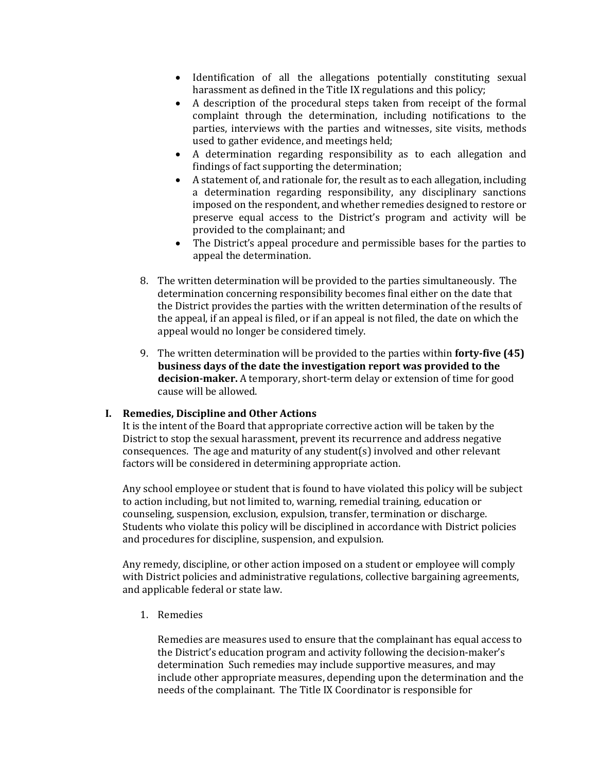- Identification of all the allegations potentially constituting sexual harassment as defined in the Title IX regulations and this policy;
- A description of the procedural steps taken from receipt of the formal complaint through the determination, including notifications to the parties, interviews with the parties and witnesses, site visits, methods used to gather evidence, and meetings held;
- A determination regarding responsibility as to each allegation and findings of fact supporting the determination;
- A statement of, and rationale for, the result as to each allegation, including a determination regarding responsibility, any disciplinary sanctions imposed on the respondent, and whether remedies designed to restore or preserve equal access to the District's program and activity will be provided to the complainant; and
- The District's appeal procedure and permissible bases for the parties to appeal the determination.
- 8. The written determination will be provided to the parties simultaneously. The determination concerning responsibility becomes final either on the date that the District provides the parties with the written determination of the results of the appeal, if an appeal is filed, or if an appeal is not filed, the date on which the appeal would no longer be considered timely.
- 9. The written determination will be provided to the parties within **forty-five (45) business days of the date the investigation report was provided to the decision-maker.** A temporary, short-term delay or extension of time for good cause will be allowed.

#### **I. Remedies, Discipline and Other Actions**

It is the intent of the Board that appropriate corrective action will be taken by the District to stop the sexual harassment, prevent its recurrence and address negative consequences. The age and maturity of any student(s) involved and other relevant factors will be considered in determining appropriate action.

Any school employee or student that is found to have violated this policy will be subject to action including, but not limited to, warning, remedial training, education or counseling, suspension, exclusion, expulsion, transfer, termination or discharge. Students who violate this policy will be disciplined in accordance with District policies and procedures for discipline, suspension, and expulsion.

Any remedy, discipline, or other action imposed on a student or employee will comply with District policies and administrative regulations, collective bargaining agreements, and applicable federal or state law.

1. Remedies

Remedies are measures used to ensure that the complainant has equal access to the District's education program and activity following the decision-maker's determination Such remedies may include supportive measures, and may include other appropriate measures, depending upon the determination and the needs of the complainant. The Title IX Coordinator is responsible for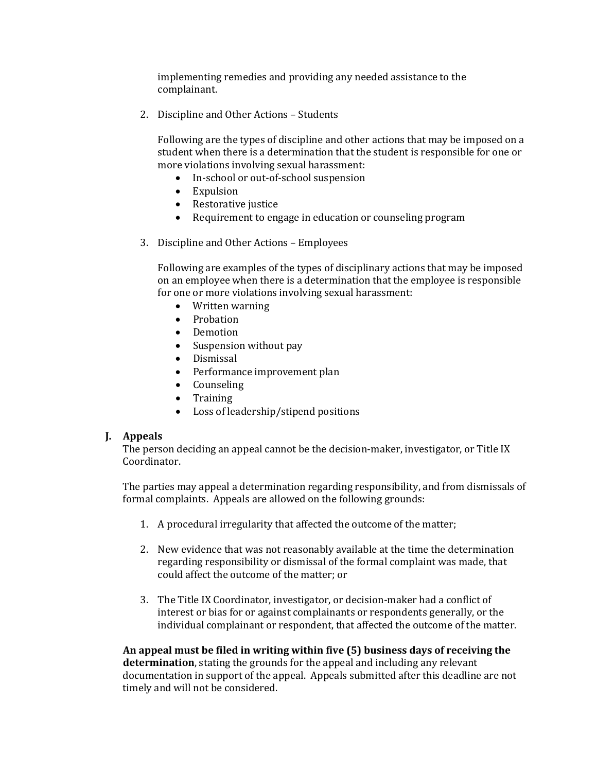implementing remedies and providing any needed assistance to the complainant.

2. Discipline and Other Actions – Students

Following are the types of discipline and other actions that may be imposed on a student when there is a determination that the student is responsible for one or more violations involving sexual harassment:

- In-school or out-of-school suspension
- Expulsion
- Restorative justice
- Requirement to engage in education or counseling program
- 3. Discipline and Other Actions Employees

Following are examples of the types of disciplinary actions that may be imposed on an employee when there is a determination that the employee is responsible for one or more violations involving sexual harassment:

- Written warning
- Probation
- Demotion
- Suspension without pay
- Dismissal
- Performance improvement plan
- Counseling
- Training
- Loss of leadership/stipend positions

#### **J. Appeals**

The person deciding an appeal cannot be the decision-maker, investigator, or Title IX Coordinator.

The parties may appeal a determination regarding responsibility, and from dismissals of formal complaints. Appeals are allowed on the following grounds:

- 1. A procedural irregularity that affected the outcome of the matter;
- 2. New evidence that was not reasonably available at the time the determination regarding responsibility or dismissal of the formal complaint was made, that could affect the outcome of the matter; or
- 3. The Title IX Coordinator, investigator, or decision-maker had a conflict of interest or bias for or against complainants or respondents generally, or the individual complainant or respondent, that affected the outcome of the matter.

#### **An appeal must be filed in writing within five (5) business days of receiving the determination**, stating the grounds for the appeal and including any relevant documentation in support of the appeal. Appeals submitted after this deadline are not timely and will not be considered.